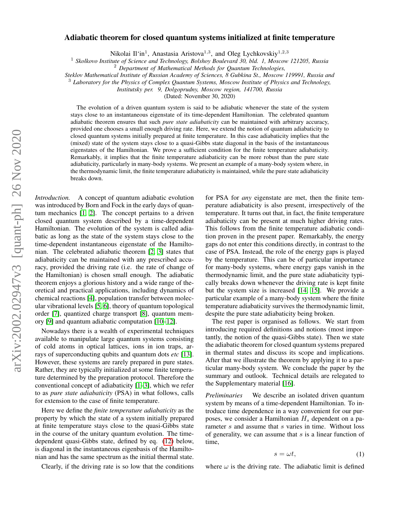# arXiv:2002.02947v3 [quant-ph] 26 Nov 2020 arXiv:2002.02947v3 [quant-ph] 26 Nov 2020

# Adiabatic theorem for closed quantum systems initialized at finite temperature

Nikolai Il'in<sup>1</sup>, Anastasia Aristova<sup>1,3</sup>, and Oleg Lychkovskiy<sup>1,2,3</sup>

1 *Skolkovo Institute of Science and Technology, Bolshoy Boulevard 30, bld. 1, Moscow 121205, Russia*

<sup>2</sup> *Department of Mathematical Methods for Quantum Technologies,*

*Steklov Mathematical Institute of Russian Academy of Sciences, 8 Gubkina St., Moscow 119991, Russia and*

<sup>3</sup> *Laboratory for the Physics of Complex Quantum Systems, Moscow Institute of Physics and Technology,*

*Institutsky per. 9, Dolgoprudny, Moscow region, 141700, Russia*

(Dated: November 30, 2020)

The evolution of a driven quantum system is said to be adiabatic whenever the state of the system stays close to an instantaneous eigenstate of its time-dependent Hamiltonian. The celebrated quantum adiabatic theorem ensures that such *pure state adiabaticity* can be maintained with arbitrary accuracy, provided one chooses a small enough driving rate. Here, we extend the notion of quantum adiabaticity to closed quantum systems initially prepared at finite temperature. In this case adiabaticity implies that the (mixed) state of the system stays close to a quasi-Gibbs state diagonal in the basis of the instantaneous eigenstates of the Hamiltonian. We prove a sufficient condition for the finite temperature adiabaticity. Remarkably, it implies that the finite temperature adiabaticity can be more robust than the pure state adiabaticity, particularly in many-body systems. We present an example of a many-body system where, in the thermodynamic limit, the finite temperature adiabaticity is maintained, while the pure state adiabaticity breaks down.

*Introduction.* A concept of quantum adiabatic evolution was introduced by Born and Fock in the early days of quantum mechanics [\[1,](#page-3-0) [2\]](#page-3-1). The concept pertains to a driven closed quantum system described by a time-dependent Hamiltonian. The evolution of the system is called adiabatic as long as the state of the system stays close to the time-dependent instantaneous eigenstate of the Hamiltonian. The celebrated adiabatic theorem [\[2,](#page-3-1) [3\]](#page-3-2) states that adiabaticity can be maintained with any prescribed accuracy, provided the driving rate (i.e. the rate of change of the Hamiltonian) is chosen small enough. The adiabatic theorem enjoys a glorious history and a wide range of theoretical and practical applications, including dynamics of chemical reactions [\[4\]](#page-3-3), population transfer between molecular vibrational levels [\[5,](#page-3-4) [6\]](#page-3-5), theory of quantum topological order [\[7\]](#page-3-6), quantized charge transport [\[8\]](#page-3-7), quantum memory [\[9\]](#page-3-8) and quantum adiabatic computation [\[10–](#page-3-9)[12\]](#page-3-10).

Nowadays there is a wealth of experimental techniques available to manipulate large quantum systems consisting of cold atoms in optical lattices, ions in ion traps, arrays of superconducting qubits and quantum dots *etc* [\[13\]](#page-3-11). However, these systems are rarely prepared in pure states. Rather, they are typically initialized at some finite temperature determined by the preparation protocol. Therefore the conventional concept of adiabaticity [\[1](#page-3-0)[–3\]](#page-3-2), which we refer to as *pure state adiabaticity* (PSA) in what follows, calls for extension to the case of finite temperature.

Here we define the *finite temperature adiabaticity* as the property by which the state of a system initially prepared at finite temperature stays close to the quasi-Gibbs state in the course of the unitary quantum evolution. The timedependent quasi-Gibbs state, defined by eq. [\(12\)](#page-1-0) below, is diagonal in the instantaneous eigenbasis of the Hamiltonian and has the same spectrum as the initial thermal state.

Clearly, if the driving rate is so low that the conditions

for PSA for *any* eigenstate are met, then the finite temperature adiabaticity is also present, irrespectively of the temperature. It turns out that, in fact, the finite temperature adiabaticity can be present at much higher driving rates. This follows from the finite temperature adiabatic condition proven in the present paper. Remarkably, the energy gaps do not enter this conditions directly, in contrast to the case of PSA. Instead, the role of the energy gaps is played by the temperature. This can be of particular importance for many-body systems, where energy gaps vanish in the thermodynamic limit, and the pure state adiabaticity typically breaks down whenever the driving rate is kept finite but the system size is increased [\[14,](#page-3-12) [15\]](#page-3-13). We provide a particular example of a many-body system where the finite temperature adiabaticity survives the thermodynamic limit, despite the pure state adiabaticity being broken.

The rest paper is organised as follows. We start from introducing required definitions and notions (most importantly, the notion of the quasi-Gibbs state). Then we state the adiabatic theorem for closed quantum systems prepared in thermal states and discuss its scope and implications. After that we illustrate the theorem by applying it to a particular many-body system. We conclude the paper by the summary and outlook. Technical details are relegated to the Supplementary material [\[16\]](#page-3-14).

*Preliminaries* We describe an isolated driven quantum system by means of a time-dependent Hamiltonian. To introduce time dependence in a way convenient for our purposes, we consider a Hamiltonian  $H_s$  dependent on a parameter s and assume that s varies in time. Without loss of generality, we can assume that  $s$  is a linear function of time,

$$
s = \omega t,\tag{1}
$$

where  $\omega$  is the driving rate. The adiabatic limit is defined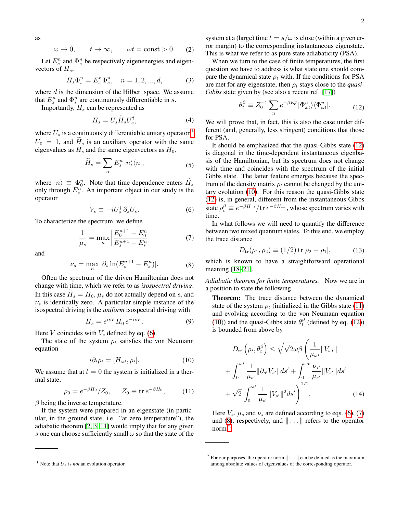as

<span id="page-1-8"></span>
$$
\omega \to 0, \qquad t \to \infty, \qquad \omega t = \text{const} > 0. \tag{2}
$$

Let  $E_s^n$  and  $\Phi_s^n$  be respectively eigenenergies and eigenvectors of  $H_s$ ,

<span id="page-1-11"></span>
$$
H_s \Phi_s^n = E_s^n \Phi_s^n, \quad n = 1, 2, ..., d,
$$
 (3)

where  $d$  is the dimension of the Hilbert space. We assume that  $E_s^n$  and  $\Phi_s^n$  are continuously differentiable in s.

Importantly,  $H_s$  can be represented as

<span id="page-1-12"></span>
$$
H_s = U_s \widetilde{H}_s U_s^{\dagger},\tag{4}
$$

where  $U_s$  is a continuously differentiable unitary operator,<sup>[1](#page-1-1)</sup>  $U_0 = 1$ , and  $H_s$  is an auxiliary operator with the same eigenvalues as  $H_s$  and the same eigenvectors as  $H_0$ ,

$$
\widetilde{H}_s = \sum_n E_s^n \, |n\rangle\langle n|,\tag{5}
$$

where  $|n\rangle \equiv \Phi_0^n$ . Note that time dependence enters  $H_s$ only through  $E_s^n$ . An important object in our study is the operator

<span id="page-1-2"></span>
$$
V_s \equiv -iU_s^{\dagger} \,\partial_s U_s. \tag{6}
$$

To characterize the spectrum, we define

<span id="page-1-5"></span>
$$
\frac{1}{\mu_s} = \max_n \left| \frac{E_0^{n+1} - E_0^n}{E_s^{n+1} - E_s^n} \right| \tag{7}
$$

and

<span id="page-1-6"></span>
$$
\nu_s = \max_n |\partial_s \ln(E_s^{n+1} - E_s^n)|. \tag{8}
$$

Often the spectrum of the driven Hamiltonian does not change with time, which we refer to as *isospectral driving*. In this case  $H_s = H_0$ ,  $\mu_s$  do not actually depend on s, and  $\nu_s$  is identically zero. A particular simple instance of the isospectral driving is the *uniform* isospectral driving with

<span id="page-1-10"></span>
$$
H_s = e^{isV} H_0 e^{-isV}.
$$
 (9)

Here V coincides with  $V<sub>s</sub>$  defined by eq. [\(6\)](#page-1-2).

The state of the system  $\rho_t$  satisfies the von Neumann equation

<span id="page-1-3"></span>
$$
i\partial_t \rho_t = [H_{\omega t}, \rho_t]. \tag{10}
$$

We assume that at  $t = 0$  the system is initialized in a thermal state,

<span id="page-1-4"></span>
$$
\rho_0 = e^{-\beta H_0} / Z_0, \quad Z_0 \equiv \text{tr} \, e^{-\beta H_0}, \quad (11)
$$

 $\beta$  being the inverse temperature.

If the system were prepared in an eigenstate (in particular, in the ground state, i.e. "at zero temperature"), the adiabatic theorem [\[2,](#page-3-1) [3,](#page-3-2) [11\]](#page-3-15) would imply that for any given s one can choose sufficiently small  $\omega$  so that the state of the system at a (large) time  $t = s/\omega$  is close (within a given error margin) to the corresponding instantaneous eigenstate. This is what we refer to as pure state adiabaticity (PSA).

When we turn to the case of finite temperatures, the first question we have to address is what state one should compare the dynamical state  $\rho_t$  with. If the conditions for PSA are met for any eigenstate, then  $\rho_t$  stays close to the *quasi*-*Gibbs* state given by (see also a recent ref. [\[17\]](#page-3-16))

<span id="page-1-0"></span>
$$
\theta_t^{\beta} \equiv Z_0^{-1} \sum_n e^{-\beta E_0^n} |\Phi_{\omega t}^n\rangle \langle \Phi_{\omega t}^n|.
$$
 (12)

We will prove that, in fact, this is also the case under different (and, generally, less stringent) conditions that those for PSA.

It should be emphasized that the quasi-Gibbs state [\(12\)](#page-1-0) is diagonal in the time-dependent instantaneous eigenbasis of the Hamiltonian, but its spectrum does not change with time and coincides with the spectrum of the initial Gibbs state. The latter feature emerges because the spectrum of the density matrix  $\rho_t$  cannot be changed by the unitary evolution [\(10\)](#page-1-3). For this reason the quasi-Gibbs state [\(12\)](#page-1-0) is, in general, different from the instantaneous Gibbs state  $\rho_t^{\beta} \equiv e^{-\beta H_{\omega t}} / \text{tr } e^{-\beta H_{\omega t}}$ , whose spectrum varies with time.

In what follows we will need to quantify the difference between two mixed quantum states. To this end, we employ the trace distance

$$
D_{\rm tr}(\rho_1, \rho_2) \equiv (1/2) \, {\rm tr} |\rho_2 - \rho_1|,\tag{13}
$$

which is known to have a straightforward operational meaning [\[18–](#page-3-17)[21\]](#page-3-18).

*Adiabatic theorem for finite temperatures.* Now we are in a position to state the following

Theorem: The trace distance between the dynamical state of the system  $\rho_t$  (initialized in the Gibbs state [\(11\)](#page-1-4) and evolving according to the von Neumann equation [\(10\)](#page-1-3)) and the quasi-Gibbs state  $\theta_t^{\beta}$  (defined by eq. [\(12\)](#page-1-0)) is bounded from above by

<span id="page-1-9"></span>
$$
D_{\text{tr}}\left(\rho_t, \theta_t^{\beta}\right) \leq \sqrt{\sqrt{2}\omega\beta} \left(\frac{1}{\mu_{\omega t}} \|V_{\omega t}\| + \int_0^{\omega t} \frac{1}{\mu_{s'}} \|\partial_{s'} V_{s'}\| ds' + \int_0^{\omega t} \frac{\nu_{s'}}{\mu_{s'}} \|V_{s'}\| ds' + \sqrt{2} \int_0^{\omega t} \frac{1}{\mu_{s'}} \|V_{s'}\|^2 ds' \right)
$$
\n(14)

Here  $V_s$ ,  $\mu_s$  and  $\nu_s$  are defined according to eqs. [\(6\)](#page-1-2), [\(7\)](#page-1-5) and [\(8\)](#page-1-6), respectively, and  $\|\ldots\|$  refers to the operator norm.[2](#page-1-7)

<span id="page-1-1"></span><sup>&</sup>lt;sup>1</sup> Note that  $U_s$  is *not* an evolution operator.

<span id="page-1-7"></span><sup>&</sup>lt;sup>2</sup> For our purposes, the operator norm  $\|\ldots\|$  can be defined as the maximum among absolute values of eigenvalues of the corresponding operator.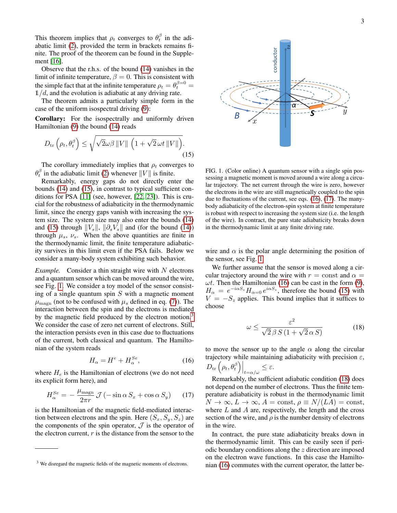This theorem implies that  $\rho_t$  converges to  $\theta_t^{\beta}$  in the adiabatic limit [\(2\)](#page-1-8), provided the term in brackets remains finite. The proof of the theorem can be found in the Supplement [\[16\]](#page-3-14).

Observe that the r.h.s. of the bound [\(14\)](#page-1-9) vanishes in the limit of infinite temperature,  $\beta = 0$ . This is consistent with the simple fact that at the infinite temperature  $\rho_t = \theta_t^{\beta=0} =$  $1/d$ , and the evolution is adiabatic at any driving rate.

The theorem admits a particularly simple form in the case of the uniform isospectral driving [\(9\)](#page-1-10):

Corollary: For the isospectrally and uniformly driven Hamiltonian [\(9\)](#page-1-10) the bound [\(14\)](#page-1-9) reads

<span id="page-2-0"></span>
$$
D_{\text{tr}}\left(\rho_t, \theta_t^{\beta}\right) \leq \sqrt{\sqrt{2}\omega\beta \left\|V\right\| \left(1 + \sqrt{2}\,\omega t \left\|V\right\|\right)}.
$$
\n(15)

The corollary immediately implies that  $\rho_t$  converges to  $\theta_t^{\beta}$  in the adiabatic limit [\(2\)](#page-1-8) whenever  $||V||$  is finite.

Remarkably, energy gaps do not directly enter the bounds [\(14\)](#page-1-9) and [\(15\)](#page-2-0), in contrast to typical sufficient conditions for PSA [\[11\]](#page-3-15) (see, however, [\[22,](#page-3-19) [23\]](#page-3-20)). This is crucial for the robustness of adiabaticity in the thermodynamic limit, since the energy gaps vanish with increasing the system size. The system size may also enter the bounds [\(14\)](#page-1-9) and [\(15\)](#page-2-0) through  $||V_s||$ ,  $||\partial_sV_s||$  and (for the bound [\(14\)](#page-1-9)) through  $\mu_s$ ,  $\nu_s$ . When the above quantities are finite in the thermodynamic limit, the finite temperature adiabaticity survives in this limit even if the PSA fails. Below we consider a many-body system exhibiting such behavior.

*Example.* Consider a thin straight wire with N electrons and a quantum sensor which can be moved around the wire, see Fig. [1.](#page-2-1) We consider a toy model of the sensor consisting of a single quantum spin  $S$  with a magnetic moment  $\mu_{\text{magn}}$  (not to be confused with  $\mu_s$  defined in eq. [\(7\)](#page-1-5)). The interaction between the spin and the electrons is mediated by the magnetic field produced by the electron motion.<sup>[3](#page-2-2)</sup> We consider the case of zero net current of electrons. Still, the interaction persists even in this case due to fluctuations of the current, both classical and quantum. The Hamiltonian of the system reads

$$
H_{\alpha} = H^e + H_{\alpha}^{Se},\tag{16}
$$

where  $H_e$  is the Hamiltonian of electrons (we do not need its explicit form here), and

$$
H_{\alpha}^{Se} = -\frac{\mu_{\text{magn}}}{2\pi r} \mathcal{J}\left(-\sin\alpha \, S_x + \cos\alpha \, S_y\right) \tag{17}
$$

is the Hamiltonian of the magnetic field-mediated interaction between electrons and the spin. Here  $(S_x, S_y, S_z)$  are the components of the spin operator,  $\mathcal J$  is the operator of the electron current,  $r$  is the distance from the sensor to the



<span id="page-2-1"></span>FIG. 1. (Color online) A quantum sensor with a single spin possessing a magnetic moment is moved around a wire along a circular trajectory. The net current through the wire is zero, however the electrons in the wire are still magnetically coupled to the spin due to fluctuations of the current, see eqs. [\(16\)](#page-2-3), [\(17\)](#page-2-4). The manybody adiabaticity of the electron-spin system at finite temperature is robust with respect to increasing the system size (i.e. the length of the wire). In contract, the pure state adiabaticity breaks down in the thermodynamic limit at any finite driving rate.

wire and  $\alpha$  is the polar angle determining the position of the sensor, see Fig. [1.](#page-2-1)

We further assume that the sensor is moved along a circular trajectory around the wire with  $r =$  const and  $\alpha =$  $\omega t$ . Then the Hamiltonian [\(16\)](#page-2-3) can be cast in the form [\(9\)](#page-1-10),  $H_{\alpha} = e^{-i\alpha S_z} H_{\alpha=0} e^{i\alpha S_z}$ , therefore the bound [\(15\)](#page-2-0) with  $V = -S<sub>z</sub>$  applies. This bound implies that it suffices to choose

<span id="page-2-5"></span>
$$
\omega \le \frac{\varepsilon^2}{\sqrt{2}\beta S \left(1 + \sqrt{2}\,\alpha\,S\right)}\tag{18}
$$

<span id="page-2-3"></span>to move the sensor up to the angle  $\alpha$  along the circular trajectory while maintaining adiabaticity with precision  $\varepsilon$ ,  $D_{\text{tr}}\left(\rho_t, \theta_t^{\beta}\right)\Big|_{t=\alpha/\omega} \leq \varepsilon.$ 

<span id="page-2-4"></span>Remarkably, the sufficient adiabatic condition [\(18\)](#page-2-5) does not depend on the number of electrons. Thus the finite temperature adiabaticity is robust in the thermodynamic limit  $N \to \infty$ ,  $L \to \infty$ ,  $A = \text{const}$ ,  $\rho \equiv N/(LA) = \text{const}$ , where  $L$  and  $A$  are, respectively, the length and the cross section of the wire, and  $\rho$  is the number density of electrons in the wire.

In contract, the pure state adiabaticity breaks down in the thermodynamic limit. This can be easily seen if periodic boundary conditions along the z direction are imposed on the electron wave functions. In this case the Hamiltonian [\(16\)](#page-2-3) commutes with the current operator, the latter be-

<span id="page-2-2"></span><sup>&</sup>lt;sup>3</sup> We disregard the magnetic fields of the magnetic moments of electrons.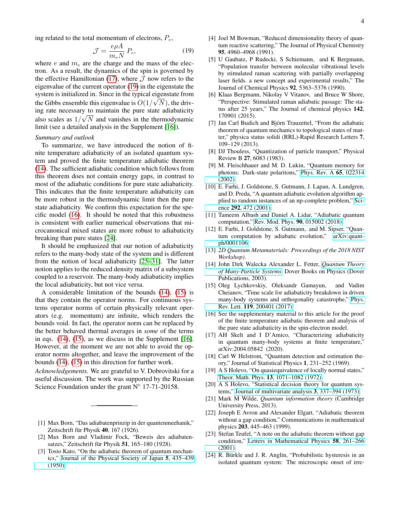<span id="page-3-21"></span>
$$
\mathcal{J} = \frac{e\rho A}{m_e N} P_e,\tag{19}
$$

where  $e$  and  $m_e$  are the charge and the mass of the electron. As a result, the dynamics of the spin is governed by the effective Hamiltonian [\(17\)](#page-2-4), where  $J$  now refers to the eigenvalue of the current operator [\(19\)](#page-3-21) in the eigenstate the system is initialized in. Since in the typical eigenstate from the Gibbs ensemble this eigenvalue is  $O(1/\sqrt{N})$ , the driving rate necessary to maintain the pure state adiabaticity also scales as  $1/\sqrt{N}$  and vanishes in the thermodynamic limit (see a detailed analysis in the Supplement [\[16\]](#page-3-14)).

# *Summary and outlook*

To summarize, we have introduced the notion of finite temperature adiabaticity of an isolated quantum system and proved the finite temperature adiabatic theorem [\(14\)](#page-1-9). The sufficient adiabatic condition which follows from this theorem does not contain energy gaps, in contrast to most of the adiabatic conditions for pure state adiabaticity. This indicates that the finite temperature adiabaticity can be more robust in the thermodynamic limit then the pure state adiabaticity. We confirm this expectation for the specific model [\(16\)](#page-2-3). It should be noted that this robustness is consistent with earlier numerical observations that microcanonical mixed states are more robust to adiabaticity breaking than pure states [\[24\]](#page-3-22).

It should be emphasized that our notion of adiabaticity refers to the many-body state of the system and is different from the notion of local adiabaticity [\[25–](#page-4-0)[31\]](#page-4-1). The latter notion applies to the reduced density matrix of a subsystem coupled to a reservoir. The many-body adiabaticity implies the local adiabaticity, but not vice versa.

A considerable limitation of the bounds [\(14\)](#page-1-9), [\(15\)](#page-2-0) is that they contain the operator norms. For continuous systems operator norms of certain physically relevant operators (e.g. momentum) are infinite, which renders the bounds void. In fact, the operator norm can be replaced by the better behaved thermal averages in *some* of the terms in eqs. [\(14\)](#page-1-9), [\(15\)](#page-2-0), as we discuss in the Supplement [\[16\]](#page-3-14). However, at the moment we are not able to avoid the operator norms altogether, and leave the improvement of the bounds [\(14\)](#page-1-9), [\(15\)](#page-2-0) in this direction for further work.

*Acknowledgements.* We are grateful to V. Dobrovitski for a useful discussion. The work was supported by the Russian Science Foundation under the grant  $N^{\circ}$  17-71-20158.

- <span id="page-3-0"></span>[1] Max Born, "Das adiabatenprinzip in der quantenmeehanik," Zeitschrift für Physik 40, 167 (1926).
- <span id="page-3-1"></span>[2] Max Born and Vladimir Fock, "Beweis des adiabatensatzes," Zeitschrift für Physik  $51$ , 165–180 (1928).
- <span id="page-3-2"></span>[3] Tosio Kato, "On the adiabatic theorem of quantum mechanics," [Journal of the Physical Society of Japan](http://dx.doi.org/10.1143/JPSJ.5.435) 5, 435–439 [\(1950\).](http://dx.doi.org/10.1143/JPSJ.5.435)
- <span id="page-3-3"></span>[4] Joel M Bowman, "Reduced dimensionality theory of quantum reactive scattering," The Journal of Physical Chemistry 95, 4960–4968 (1991).
- <span id="page-3-4"></span>[5] U Gaubatz, P Rudecki, S Schiemann, and K Bergmann, "Population transfer between molecular vibrational levels by stimulated raman scattering with partially overlapping laser fields. a new concept and experimental results," The Journal of Chemical Physics 92, 5363–5376 (1990).
- <span id="page-3-5"></span>[6] Klaas Bergmann, Nikolay V Vitanov, and Bruce W Shore, "Perspective: Stimulated raman adiabatic passage: The status after 25 years," The Journal of chemical physics 142, 170901 (2015).
- <span id="page-3-6"></span>[7] Jan Carl Budich and Björn Trauzettel, "From the adiabatic theorem of quantum mechanics to topological states of matter," physica status solidi (RRL)-Rapid Research Letters 7, 109–129 (2013).
- <span id="page-3-7"></span>[8] DJ Thouless, "Quantization of particle transport," Physical Review B 27, 6083 (1983).
- <span id="page-3-8"></span>[9] M. Fleischhauer and M. D. Lukin, "Quantum memory for photons: Dark-state polaritons," [Phys. Rev. A](http://dx.doi.org/ 10.1103/PhysRevA.65.022314) 65, 022314 [\(2002\).](http://dx.doi.org/ 10.1103/PhysRevA.65.022314)
- <span id="page-3-9"></span>[10] E. Farhi, J. Goldstone, S. Gutmann, J. Lapan, A. Lundgren, and D. Preda, "A quantum adiabatic evolution algorithm applied to random instances of an np-complete problem," [Sci](http://dx.doi.org/ 10.1126/science.1057726)ence 292[, 472 \(2001\).](http://dx.doi.org/ 10.1126/science.1057726)
- <span id="page-3-15"></span>[11] Tameem Albash and Daniel A. Lidar, "Adiabatic quantum computation," [Rev. Mod. Phys.](http://dx.doi.org/10.1103/RevModPhys.90.015002) 90, 015002 (2018).
- <span id="page-3-10"></span>[12] E. Farhi, J. Goldstone, S. Gutmann, and M. Sipser, "Quantum computation by adiabatic evolution," [arXiv:quant](http://arxiv.org/abs/arXiv:quant-ph/0001106)[ph/0001106.](http://arxiv.org/abs/arXiv:quant-ph/0001106)
- <span id="page-3-11"></span>[13] *2D Quantum Metamaterials: Proceedings of the 2018 NIST Workshop)*.
- <span id="page-3-12"></span>[14] John Dirk Walecka Alexander L. Fetter, *[Quantum Theory](http://gen.lib.rus.ec/book/index.php?md5=F701CEC9C051A4A02C9A883ED45650D5) [of Many-Particle Systems](http://gen.lib.rus.ec/book/index.php?md5=F701CEC9C051A4A02C9A883ED45650D5)*, Dover Books on Physics (Dover Publications, 2003).
- <span id="page-3-13"></span>[15] Oleg Lychkovskiy, Oleksandr Gamayun, and Vadim Cheianov, "Time scale for adiabaticity breakdown in driven many-body systems and orthogonality catastrophe," [Phys.](http://dx.doi.org/10.1103/PhysRevLett.119.200401) Rev. Lett. 119[, 200401 \(2017\).](http://dx.doi.org/10.1103/PhysRevLett.119.200401)
- <span id="page-3-14"></span>[16] See the supplementary material to this article for the proof of the finite temperature adiabatic theorem and analysis of the pure state adiabaticity in the spin-electron model.
- <span id="page-3-16"></span>[17] AH Skelt and I D'Amico, "Characterizing adiabaticity in quantum many-body systems at finite temperature," arXiv:2004.05842 (2020).
- <span id="page-3-17"></span>[18] Carl W Helstrom, "Quantum detection and estimation theory," Journal of Statistical Physics 1, 231–252 (1969).
- <span id="page-3-23"></span>[19] A S Holevo, "On quasiequivalence of locally normal states," Theor. Math. Phys. 13[, 1071–1082 \(1972\).](http://dx.doi.org/ 10.1007/BF01035528)
- [20] A S Holevo, "Statistical decision theory for quantum systems," [Journal of multivariate analysis](http://dx.doi.org/ 10.1016/0047-259X(73)90028-6) 3, 337–394 (1973).
- <span id="page-3-18"></span>[21] Mark M Wilde, *Quantum information theory* (Cambridge University Press, 2013).
- <span id="page-3-19"></span>[22] Joseph E Avron and Alexander Elgart, "Adiabatic theorem without a gap condition," Communications in mathematical physics 203, 445–463 (1999).
- <span id="page-3-20"></span>[23] Stefan Teufel, "A note on the adiabatic theorem without gap condition," [Letters in Mathematical Physics](http://dx.doi.org/ 10.1023/A:1014556511004) 58, 261–266 [\(2001\).](http://dx.doi.org/ 10.1023/A:1014556511004)
- <span id="page-3-22"></span>[24] R. Bürkle and J. R. Anglin, "Probabilistic hysteresis in an isolated quantum system: The microscopic onset of irre-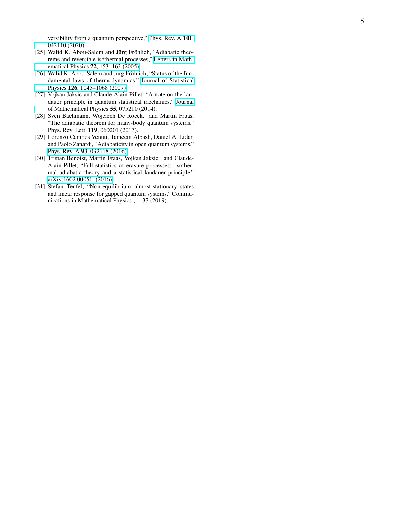versibility from a quantum perspective," [Phys. Rev. A](http://dx.doi.org/ 10.1103/PhysRevA.101.042110) 101, [042110 \(2020\).](http://dx.doi.org/ 10.1103/PhysRevA.101.042110)

- <span id="page-4-0"></span>[25] Walid K. Abou-Salem and Jürg Fröhlich, "Adiabatic theorems and reversible isothermal processes," [Letters in Math](http://dx.doi.org/10.1007/s11005-005-4838-1)ematical Physics 72[, 153–163 \(2005\).](http://dx.doi.org/10.1007/s11005-005-4838-1)
- [26] Walid K. Abou-Salem and Jürg Fröhlich, "Status of the fundamental laws of thermodynamics," [Journal of Statistical](http://dx.doi.org/10.1007/s10955-006-9222-8) Physics 126[, 1045–1068 \(2007\).](http://dx.doi.org/10.1007/s10955-006-9222-8)
- [27] Vojkan Jaksic and Claude-Alain Pillet, "A note on the landauer principle in quantum statistical mechanics," [Journal](http://dx.doi.org/ 10.1063/1.4884475) [of Mathematical Physics](http://dx.doi.org/ 10.1063/1.4884475) 55, 075210 (2014).
- [28] Sven Bachmann, Wojciech De Roeck, and Martin Fraas, "The adiabatic theorem for many-body quantum systems," Phys. Rev. Lett. 119, 060201 (2017).
- [29] Lorenzo Campos Venuti, Tameem Albash, Daniel A. Lidar, and Paolo Zanardi, "Adiabaticity in open quantum systems," Phys. Rev. A 93[, 032118 \(2016\).](http://dx.doi.org/ 10.1103/PhysRevA.93.032118)
- [30] Tristan Benoist, Martin Fraas, Vojkan Jaksic, and Claude-Alain Pillet, "Full statistics of erasure processes: Isothermal adiabatic theory and a statistical landauer principle," [arXiv:1602.00051 \(2016\).](https://arxiv.org/abs/1602.00051)
- <span id="page-4-1"></span>[31] Stefan Teufel, "Non-equilibrium almost-stationary states and linear response for gapped quantum systems," Communications in Mathematical Physics , 1–33 (2019).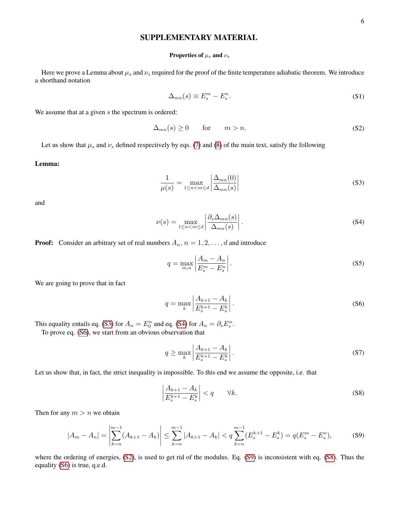# SUPPLEMENTARY MATERIAL

### Properties of  $\mu_s$  and  $\nu_s$

Here we prove a Lemma about  $\mu_s$  and  $\nu_s$  required for the proof of the finite temperature adiabatic theorem. We introduce a shorthand notation

$$
\Delta_{mn}(s) \equiv E_s^m - E_s^n. \tag{S1}
$$

We assume that at a given  $s$  the spectrum is ordered:

$$
\Delta_{mn}(s) \ge 0 \qquad \text{for} \qquad m > n. \tag{S2}
$$

Let us show that  $\mu_s$  and  $\nu_s$  defined respectively by eqs. [\(7\)](#page-1-5) and [\(8\)](#page-1-6) of the main text, satisfy the following

# Lemma:

$$
\frac{1}{\mu(s)} = \max_{1 \le n < m \le d} \left| \frac{\Delta_{mn}(0)}{\Delta_{mn}(s)} \right| \tag{S3}
$$

and

$$
\nu(s) = \max_{1 \le n < m \le d} \left| \frac{\partial_s \Delta_{mn}(s)}{\Delta_{mn}(s)} \right|.
$$
\n(S4)

**Proof:** Consider an arbitrary set of real numbers  $A_n$ ,  $n = 1, 2, \ldots, d$  and introduce

$$
q = \max_{m,n} \left| \frac{A_m - A_n}{E_s^m - E_s^n} \right|.
$$
\n<sup>(S5)</sup>

We are going to prove that in fact

$$
q = \max_{k} \left| \frac{A_{k+1} - A_k}{E_s^{k+1} - E_s^k} \right|.
$$
 (S6)

This equality entails eq. [\(S3\)](#page-1-11) for  $A_n = E_0^n$  and eq. [\(S4\)](#page-1-12) for  $A_n = \partial_s E_s^n$ .

To prove eq. [\(S6\)](#page-1-2), we start from an obvious observation that

$$
q \ge \max_{k} \left| \frac{A_{k+1} - A_k}{E_s^{k+1} - E_s^k} \right|.
$$
\n
$$
(S7)
$$

Let us show that, in fact, the strict inequality is impossible. To this end we assume the opposite, i.e. that

$$
\left|\frac{A_{k+1} - A_k}{E_s^{k+1} - E_s^k}\right| < q \qquad \forall k. \tag{S8}
$$

Then for any  $m > n$  we obtain

$$
|A_m - A_n| = \left| \sum_{k=n}^{m-1} (A_{k+1} - A_k) \right| \le \sum_{k=n}^{m-1} |A_{k+1} - A_k| < q \sum_{k=n}^{m-1} (E_s^{k+1} - E_s^k) = q(E_s^m - E_s^n),\tag{S9}
$$

where the ordering of energies, [\(S2\)](#page-1-8), is used to get rid of the modulus. Eq. [\(S9\)](#page-1-10) is inconsistent with eq. [\(S8\)](#page-1-6). Thus the equality [\(S6\)](#page-1-2) is true, q.e.d.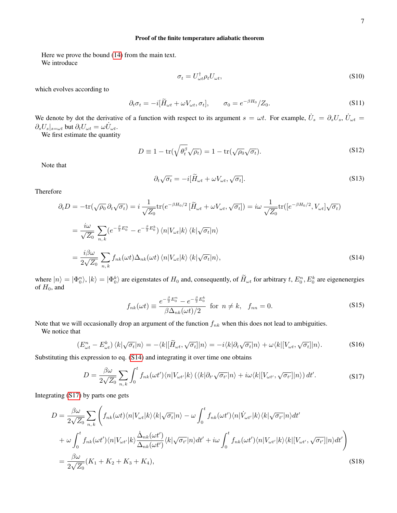### Proof of the finite temperature adiabatic theorem

Here we prove the bound [\(14\)](#page-1-9) from the main text. We introduce

$$
\sigma_t = U_{\omega t}^\dagger \rho_t U_{\omega t},\tag{S10}
$$

which evolves according to

$$
\partial_t \sigma_t = -i[\widetilde{H}_{\omega t} + \omega V_{\omega t}, \sigma_t], \qquad \sigma_0 = e^{-\beta H_0} / Z_0.
$$
 (S11)

We denote by dot the derivative of a function with respect to its argument  $s = \omega t$ . For example,  $\dot{U}_s = \partial_s U_s$ ,  $\dot{U}_{\omega t} =$  $\partial_s U_s|_{s=\omega t}$  but  $\partial_t U_{\omega t} = \omega \dot{U}_{\omega t}$ .

We first estimate the quantity

$$
D \equiv 1 - \text{tr}(\sqrt{\theta_t^{\beta}} \sqrt{\rho_t}) = 1 - \text{tr}(\sqrt{\rho_0} \sqrt{\sigma_t}).
$$
\n(S12)

Note that

$$
\partial_t \sqrt{\sigma_t} = -i[\widetilde{H}_{\omega t} + \omega V_{\omega t}, \sqrt{\sigma_t}].
$$
\n(S13)

Therefore

$$
\partial_t D = -\text{tr}(\sqrt{\rho_0} \partial_t \sqrt{\sigma_t}) = i \frac{1}{\sqrt{Z_0}} \text{tr}(e^{-\beta H_0/2} [\tilde{H}_{\omega t} + \omega V_{\omega t}, \sqrt{\sigma_t}]) = i\omega \frac{1}{\sqrt{Z_0}} \text{tr}([e^{-\beta H_0/2}, V_{\omega t}] \sqrt{\sigma_t})
$$

$$
= \frac{i\omega}{\sqrt{Z_0}} \sum_{n,k} (e^{-\frac{\beta}{2}E_0^n} - e^{-\frac{\beta}{2}E_0^k}) \langle n | V_{\omega t} | k \rangle \langle k | \sqrt{\sigma_t} | n \rangle
$$

$$
= \frac{i\beta\omega}{2\sqrt{Z_0}} \sum_{n,k} f_{nk}(\omega t) \Delta_{nk}(\omega t) \langle n | V_{\omega t} | k \rangle \langle k | \sqrt{\sigma_t} | n \rangle,
$$
(S14)

where  $|n\rangle = |\Phi_0^n\rangle$ ,  $|k\rangle = |\Phi_0^k\rangle$  are eigenstates of  $H_0$  and, consequently, of  $H_{\omega t}$  for arbitrary  $t$ ,  $E_0^n$ ,  $E_0^k$  are eigenenergies of  $H_0$ , and

$$
f_{nk}(\omega t) \equiv \frac{e^{-\frac{\beta}{2}E_0^n} - e^{-\frac{\beta}{2}E_0^k}}{\beta \Delta_{nk}(\omega t)/2} \quad \text{for} \quad n \neq k, \quad f_{nn} = 0. \tag{S15}
$$

Note that we will occasionally drop an argument of the function  $f_{nk}$  when this does not lead to ambiguities.

We notice that

$$
(E_{\omega t}^{n} - E_{\omega t}^{k}) \langle k | \sqrt{\sigma_{t}} | n \rangle = -\langle k | [\widetilde{H}_{\omega t}, \sqrt{\sigma_{t}}] | n \rangle = -i \langle k | \partial_{t} \sqrt{\sigma_{t}} | n \rangle + \omega \langle k | [V_{\omega t}, \sqrt{\sigma_{t}}] | n \rangle. \tag{S16}
$$

Substituting this expression to eq. [\(S14\)](#page-1-9) and integrating it over time one obtains

$$
D = \frac{\beta \omega}{2\sqrt{Z_0}} \sum_{n,k} \int_0^t f_{nk}(\omega t') \langle n | V_{\omega t'} | k \rangle \left( \langle k | \partial_{t'} \sqrt{\sigma_{t'}} | n \rangle + i \omega \langle k | [V_{\omega t'}, \sqrt{\sigma_{t'}}] | n \rangle \right) dt'.
$$
 (S17)

Integrating [\(S17\)](#page-2-4) by parts one gets

$$
D = \frac{\beta \omega}{2\sqrt{Z_0}} \sum_{n,k} \left( f_{nk}(\omega t) \langle n | V_{\omega t} | k \rangle \langle k | \sqrt{\sigma_t} | n \rangle - \omega \int_0^t f_{nk}(\omega t') \langle n | \dot{V}_{\omega t'} | k \rangle \langle k | \sqrt{\sigma_{t'}} | n \rangle dt' \right. \\
\left. + \omega \int_0^t f_{nk}(\omega t') \langle n | V_{\omega t'} | k \rangle \frac{\dot{\Delta}_{nk}(\omega t')}{\Delta_{nk}(\omega t')} \langle k | \sqrt{\sigma_{t'}} | n \rangle dt' + i\omega \int_0^t f_{nk}(\omega t') \langle n | V_{\omega t'} | k \rangle \langle k | [V_{\omega t'}, \sqrt{\sigma_{t'}}] | n \rangle dt' \right) \\
= \frac{\beta \omega}{2\sqrt{Z_0}} (K_1 + K_2 + K_3 + K_4),
$$
\n(S18)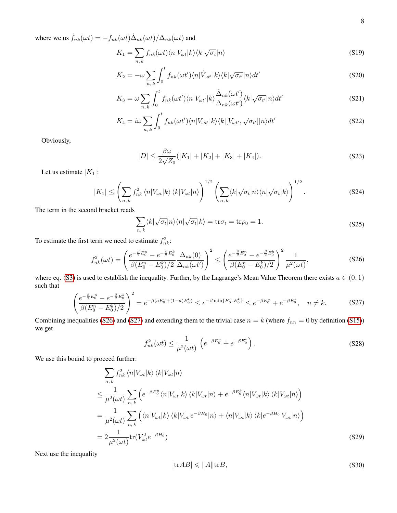where we us  $\dot{f}_{nk}(\omega t) = -f_{nk}(\omega t) \dot{\Delta}_{nk}(\omega t) / \Delta_{nk}(\omega t)$  and

$$
K_1 = \sum_{n,k} f_{nk}(\omega t) \langle n | V_{\omega t} | k \rangle \langle k | \sqrt{\sigma_t} | n \rangle \tag{S19}
$$

$$
K_2 = -\omega \sum_{n,k} \int_0^t f_{nk}(\omega t') \langle n | \dot{V}_{\omega t'} | k \rangle \langle k | \sqrt{\sigma_{t'}} | n \rangle dt'
$$
 (S20)

$$
K_3 = \omega \sum_{n,k} \int_0^t f_{nk}(\omega t') \langle n | V_{\omega t'} | k \rangle \frac{\dot{\Delta}_{nk}(\omega t')}{\Delta_{nk}(\omega t')} \langle k | \sqrt{\sigma_{t'}} | n \rangle dt' \tag{S21}
$$

$$
K_4 = i\omega \sum_{n,k} \int_0^t f_{nk}(\omega t') \langle n | V_{\omega t'} | k \rangle \langle k | [V_{\omega t'}, \sqrt{\sigma_{t'}}] | n \rangle dt'
$$
 (S22)

Obviously,

<span id="page-7-3"></span>
$$
|D| \le \frac{\beta \omega}{2\sqrt{Z_0}}(|K_1| + |K_2| + |K_3| + |K_4|). \tag{S23}
$$

Let us estimate  $|K_1|$ :

$$
|K_1| \leq \left(\sum_{n,k} f_{nk}^2 \langle n|V_{\omega t}|k\rangle \langle k|V_{\omega t}|n\rangle\right)^{1/2} \left(\sum_{n,k} \langle k|\sqrt{\sigma_t}|n\rangle \langle n|\sqrt{\sigma_t}|k\rangle\right)^{1/2}.\tag{S24}
$$

The term in the second bracket reads

$$
\sum_{n,k} \langle k | \sqrt{\sigma_t} | n \rangle \langle n | \sqrt{\sigma_t} | k \rangle = \text{tr} \sigma_t = \text{tr} \rho_0 = 1.
$$
 (S25)

To estimate the first term we need to estimate  $f_{nk}^2$ :

<span id="page-7-0"></span>
$$
f_{nk}^2(\omega t) = \left(\frac{e^{-\frac{\beta}{2}E_0^n} - e^{-\frac{\beta}{2}E_0^k}}{\beta(E_0^n - E_0^k)/2} \frac{\Delta_{nk}(0)}{\Delta_{nk}(\omega t')}\right)^2 \le \left(\frac{e^{-\frac{\beta}{2}E_0^n} - e^{-\frac{\beta}{2}E_0^k}}{\beta(E_0^n - E_0^k)/2}\right)^2 \frac{1}{\mu^2(\omega t)},
$$
(S26)

where eq. [\(S3\)](#page-1-11) is used to establish the inequality. Further, by the Lagrange's Mean Value Theorem there exists  $a \in (0,1)$ such that

<span id="page-7-1"></span>
$$
\left(\frac{e^{-\frac{\beta}{2}E_0^n} - e^{-\frac{\beta}{2}E_0^k}}{\beta(E_0^n - E_0^k)/2}\right)^2 = e^{-\beta(aE_0^n + (1-a)E_0^k)} \le e^{-\beta \min\{E_0^n, E_0^k\}} \le e^{-\beta E_0^n} + e^{-\beta E_0^k}, \quad n \neq k. \tag{S27}
$$

Combining inequalities [\(S26\)](#page-7-0) and [\(S27\)](#page-7-1) and extending them to the trivial case  $n = k$  (where  $f_{nn} = 0$  by definition [\(S15\)](#page-2-0)) we get

$$
f_{nk}^2(\omega t) \le \frac{1}{\mu^2(\omega t)} \left( e^{-\beta E_0^n} + e^{-\beta E_0^k} \right). \tag{S28}
$$

We use this bound to proceed further:

<span id="page-7-2"></span>
$$
\sum_{n,k} f_{nk}^2 \langle n | V_{\omega t} | k \rangle \langle k | V_{\omega t} | n \rangle
$$
\n
$$
\leq \frac{1}{\mu^2(\omega t)} \sum_{n,k} \left( e^{-\beta E_0^n} \langle n | V_{\omega t} | k \rangle \langle k | V_{\omega t} | n \rangle + e^{-\beta E_0^k} \langle n | V_{\omega t} | k \rangle \langle k | V_{\omega t} | n \rangle \right)
$$
\n
$$
= \frac{1}{\mu^2(\omega t)} \sum_{n,k} \left( \langle n | V_{\omega t} | k \rangle \langle k | V_{\omega t} e^{-\beta H_0} | n \rangle + \langle n | V_{\omega t} | k \rangle \langle k | e^{-\beta H_0} V_{\omega t} | n \rangle \right)
$$
\n
$$
= 2 \frac{1}{\mu^2(\omega t)} \text{tr}(V_{\omega t}^2 e^{-\beta H_0}) \tag{S29}
$$

Next use the inequality

$$
|\mathrm{tr} AB| \leqslant \|A\|\mathrm{tr} B,\tag{S30}
$$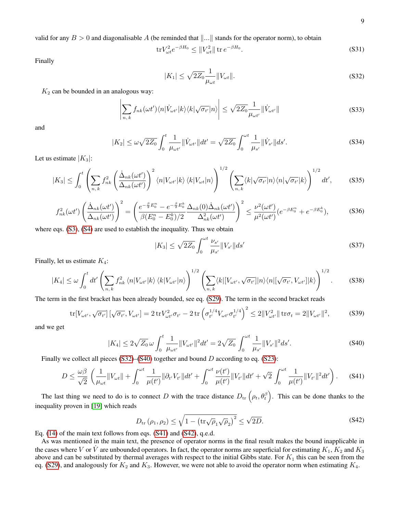valid for any  $B > 0$  and diagonalisable A (be reminded that  $\Vert ... \Vert$  stands for the operator norm), to obtain

$$
\text{tr}V_{\omega t}^2 e^{-\beta H_0} \le \|V_{\omega t}^2\| \text{ tr } e^{-\beta H_0}.
$$
 (S31)

Finally

<span id="page-8-0"></span>
$$
|K_1| \le \sqrt{2Z_0} \frac{1}{\mu_{\omega t}} \|V_{\omega t}\|.
$$
 (S32)

 $K_2$  can be bounded in an analogous way:

$$
\left| \sum_{n,k} f_{nk}(\omega t') \langle n | \dot{V}_{\omega t'} | k \rangle \langle k | \sqrt{\sigma_{t'}} | n \rangle \right| \leq \sqrt{2Z_0} \frac{1}{\mu_{\omega t'}} || \dot{V}_{\omega t'} || \tag{S33}
$$

and

$$
|K_2| \le \omega \sqrt{2Z_0} \int_0^t \frac{1}{\mu_{\omega t'}} \|\dot{V}_{\omega t'}\| dt' = \sqrt{2Z_0} \int_0^{\omega t} \frac{1}{\mu_{s'}} \|\dot{V}_{s'}\| ds'.
$$
 (S34)

Let us estimate  $|K_3|$ :

$$
|K_3| \leq \int_0^t \left( \sum_{n,k} f_{nk}^2 \left( \frac{\dot{\Delta}_{nk}(\omega t')}{\Delta_{nk}(\omega t')} \right)^2 \langle n | V_{\omega t'} | k \rangle \langle k | V_{\omega t} | n \rangle \right)^{1/2} \left( \sum_{n,k} \langle k | \sqrt{\sigma_{t'}} | n \rangle \langle n | \sqrt{\sigma_{t'}} | k \rangle \right)^{1/2} dt', \tag{S35}
$$

$$
f_{nk}^2(\omega t')\left(\frac{\dot{\Delta}_{nk}(\omega t')}{\Delta_{nk}(\omega t')}\right)^2 = \left(\frac{e^{-\frac{\beta}{2}E_0^n} - e^{-\frac{\beta}{2}E_0^k}}{\beta(E_0^n - E_0^k)/2} \frac{\Delta_{nk}(0)\dot{\Delta}_{nk}(\omega t')}{\Delta_{nk}^2(\omega t')}\right)^2 \le \frac{\nu^2(\omega t')}{\mu^2(\omega t')} (e^{-\beta E_0^n} + e^{-\beta E_0^k}),\tag{S36}
$$

where eqs.  $(S3)$ ,  $(S4)$  are used to establish the inequality. Thus we obtain

$$
|K_3| \le \sqrt{2Z_0} \int_0^{\omega t} \frac{\nu_{s'}}{\mu_{s'}} \|V_{s'}\| ds' \tag{S37}
$$

Finally, let us estimate  $K_4$ :

$$
|K_4| \leq \omega \int_0^t dt' \left( \sum_{n,k} f_{nk}^2 \langle n | V_{\omega t'} | k \rangle \langle k | V_{\omega t'} | n \rangle \right)^{1/2} \left( \sum_{n,k} \langle k | [V_{\omega t'}, \sqrt{\sigma_{t'}}] | n \rangle \langle n | [\sqrt{\sigma_{t'}}, V_{\omega t'}] | k \rangle \right)^{1/2}.
$$
 (S38)

The term in the first bracket has been already bounded, see eq. [\(S29\)](#page-7-2). The term in the second bracket reads

$$
\text{tr}[V_{\omega t'}, \sqrt{\sigma_{t'}}] \left[ \sqrt{\sigma_{t'}}, V_{\omega t'} \right] = 2 \, \text{tr} V_{\omega t'}^2 \sigma_{t'} - 2 \, \text{tr} \left( \sigma_{t'}^{1/4} V_{\omega t'} \sigma_{t'}^{1/4} \right)^2 \le 2 \| V_{\omega t'}^2 \| \, \text{tr} \sigma_t = 2 \| V_{\omega t'} \|^2, \tag{S39}
$$

and we get

<span id="page-8-1"></span>
$$
|K_4| \le 2\sqrt{Z_0} \,\omega \int_0^t \frac{1}{\mu_{\omega t'}} \|V_{\omega t'}\|^2 dt' = 2\sqrt{Z_0} \int_0^{\omega t} \frac{1}{\mu_{s'}} \|V_{s'}\|^2 ds'.
$$
 (S40)

Finally we collect all pieces  $(S32)$ – $(S40)$  together and bound D according to eq.  $(S23)$ :

<span id="page-8-2"></span>
$$
D \leq \frac{\omega \beta}{\sqrt{2}} \left( \frac{1}{\mu_{\omega t}} \|V_{\omega t}\| + \int_0^{\omega t} \frac{1}{\mu(t')} \|\partial_{t'} V_{t'}\| dt' + \int_0^{\omega t} \frac{\nu(t')}{\mu(t')} \|V_{t'}\| dt' + \sqrt{2} \int_0^{\omega t} \frac{1}{\mu(t')} \|V_{t'}\|^2 dt' \right). \tag{S41}
$$

The last thing we need to do is to connect D with the trace distance  $D_{tr}(\rho_t, \theta_t^{\beta})$ . This can be done thanks to the inequality proven in [\[19\]](#page-3-23) which reads

<span id="page-8-3"></span>
$$
D_{\text{tr}}\left(\rho_{1},\rho_{2}\right) \leq \sqrt{1-\left(\text{tr}\sqrt{\rho}_{1}\sqrt{\rho}_{2}\right)^{2}} \leq \sqrt{2D}.\tag{S42}
$$

Eq. [\(14\)](#page-1-9) of the main text follows from eqs. [\(S41\)](#page-8-2) and [\(S42\)](#page-8-3), q.e.d.

As was mentioned in the main text, the presence of operator norms in the final result makes the bound inapplicable in the cases where V or  $\dot{V}$  are unbounded operators. In fact, the operator norms are superficial for estimating  $K_1, K_2$  and  $K_3$ above and can be substituted by thermal averages with respect to the initial Gibbs state. For  $K_1$  this can be seen from the eq. [\(S29\)](#page-7-2), and analogously for  $K_2$  and  $K_3$ . However, we were not able to avoid the operator norm when estimating  $K_4$ .